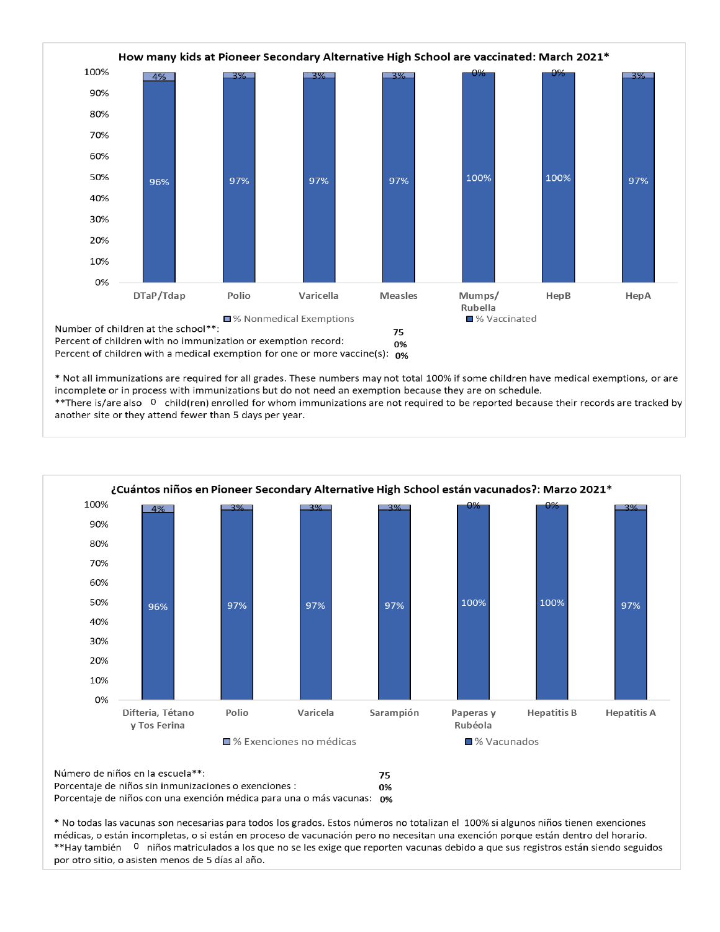

\* Not all immunizations are required for all grades. These numbers may not total 100% if some children have medical exemptions, or are incomplete or in process with immunizations but do not need an exemption because they are on schedule.

\*\*There is/are also 0 child(ren) enrolled for whom immunizations are not required to be reported because their records are tracked by another site or they attend fewer than 5 days per year.



Número de niños en la escuela\*\*: 75 Porcentaje de niños sin inmunizaciones o exenciones : 0% Porcentaje de niños con una exención médica para una o más vacunas: 0%

\* No todas las vacunas son necesarias para todos los grados. Estos números no totalizan el 100% si algunos niños tienen exenciones médicas, o están incompletas, o si están en proceso de vacunación pero no necesitan una exención porque están dentro del horario. \*\*Hay también 0 niños matriculados a los que no se les exige que reporten vacunas debido a que sus registros están siendo seguidos por otro sitio, o asisten menos de 5 días al año.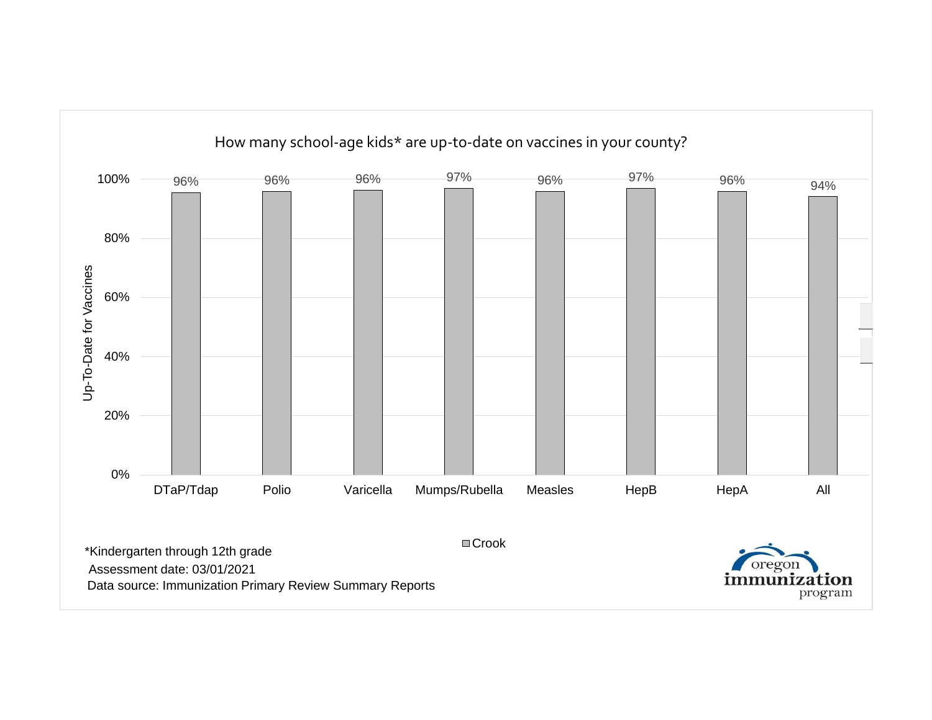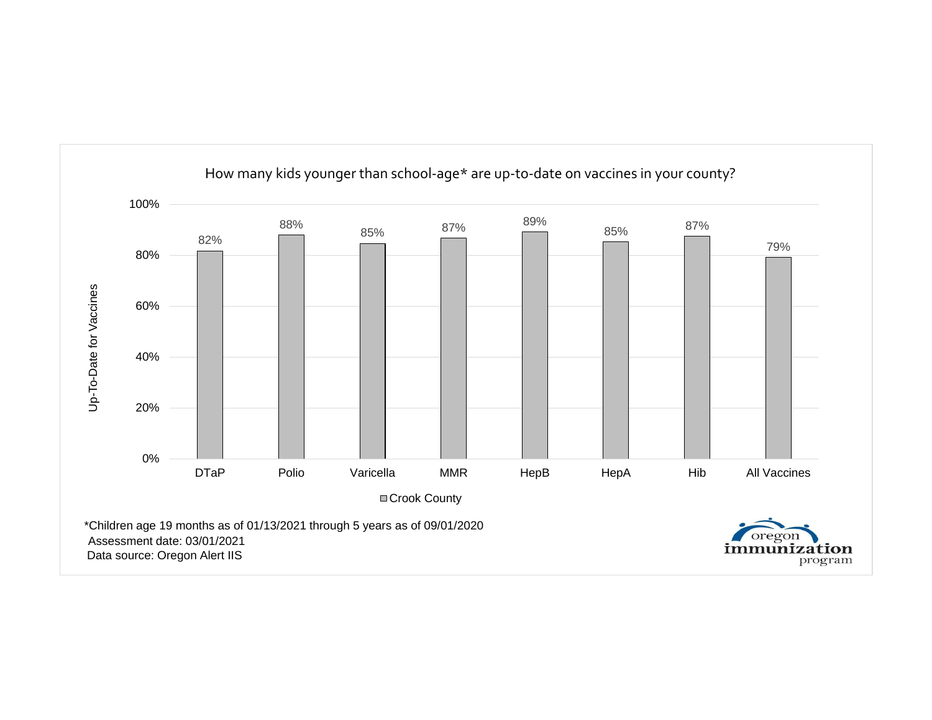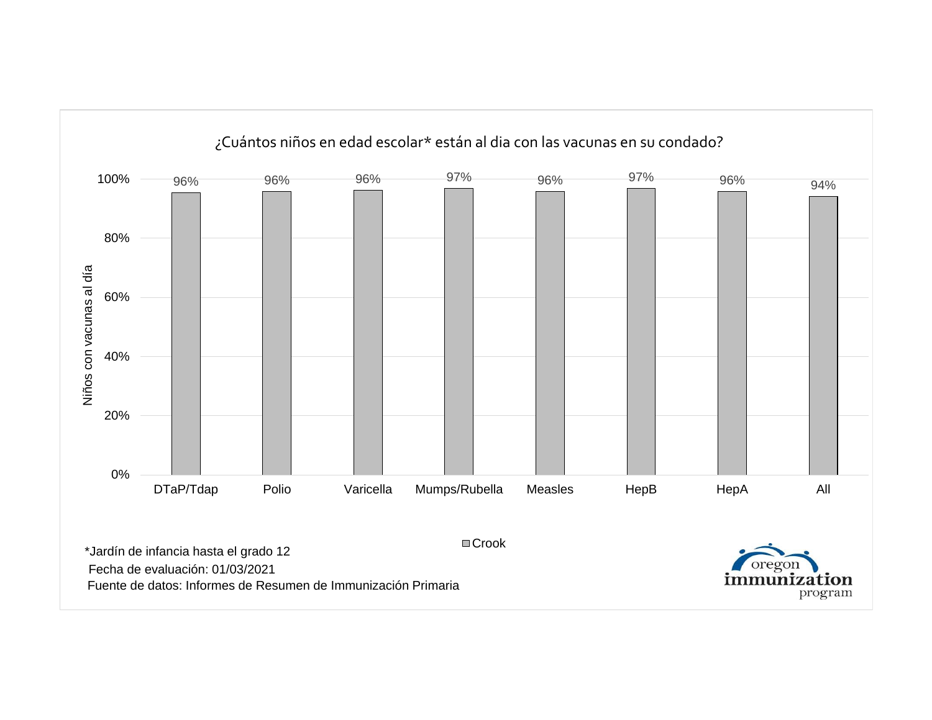